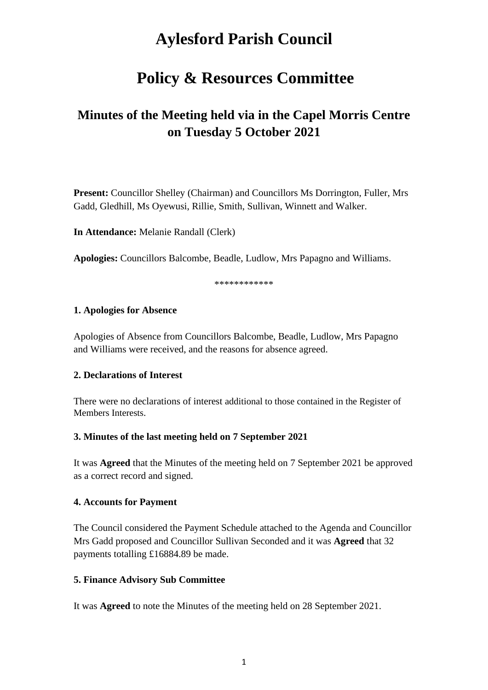# **Aylesford Parish Council**

## **Policy & Resources Committee**

## **Minutes of the Meeting held via in the Capel Morris Centre on Tuesday 5 October 2021**

**Present:** Councillor Shelley (Chairman) and Councillors Ms Dorrington, Fuller, Mrs Gadd, Gledhill, Ms Oyewusi, Rillie, Smith, Sullivan, Winnett and Walker.

**In Attendance:** Melanie Randall (Clerk)

**Apologies:** Councillors Balcombe, Beadle, Ludlow, Mrs Papagno and Williams.

\*\*\*\*\*\*\*\*\*\*\*\*

#### **1. Apologies for Absence**

Apologies of Absence from Councillors Balcombe, Beadle, Ludlow, Mrs Papagno and Williams were received, and the reasons for absence agreed.

#### **2. Declarations of Interest**

There were no declarations of interest additional to those contained in the Register of Members Interests.

#### **3. Minutes of the last meeting held on 7 September 2021**

It was **Agreed** that the Minutes of the meeting held on 7 September 2021 be approved as a correct record and signed.

#### **4. Accounts for Payment**

The Council considered the Payment Schedule attached to the Agenda and Councillor Mrs Gadd proposed and Councillor Sullivan Seconded and it was **Agreed** that 32 payments totalling £16884.89 be made.

#### **5. Finance Advisory Sub Committee**

It was **Agreed** to note the Minutes of the meeting held on 28 September 2021.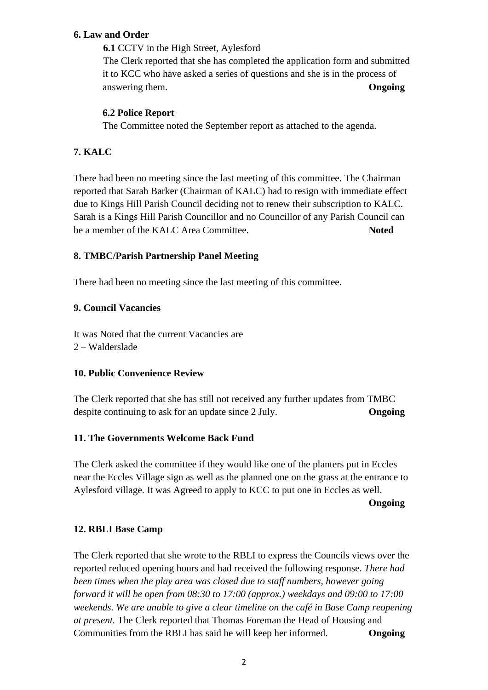#### **6. Law and Order**

**6.1** CCTV in the High Street, Aylesford

The Clerk reported that she has completed the application form and submitted it to KCC who have asked a series of questions and she is in the process of answering them. **Ongoing**

### **6.2 Police Report**

The Committee noted the September report as attached to the agenda.

## **7. KALC**

There had been no meeting since the last meeting of this committee. The Chairman reported that Sarah Barker (Chairman of KALC) had to resign with immediate effect due to Kings Hill Parish Council deciding not to renew their subscription to KALC. Sarah is a Kings Hill Parish Councillor and no Councillor of any Parish Council can be a member of the KALC Area Committee. **Noted**

## **8. TMBC/Parish Partnership Panel Meeting**

There had been no meeting since the last meeting of this committee.

#### **9. Council Vacancies**

It was Noted that the current Vacancies are 2 – Walderslade

#### **10. Public Convenience Review**

The Clerk reported that she has still not received any further updates from TMBC despite continuing to ask for an update since 2 July. **Ongoing**

#### **11. The Governments Welcome Back Fund**

The Clerk asked the committee if they would like one of the planters put in Eccles near the Eccles Village sign as well as the planned one on the grass at the entrance to Aylesford village. It was Agreed to apply to KCC to put one in Eccles as well.

#### **Ongoing**

#### **12. RBLI Base Camp**

The Clerk reported that she wrote to the RBLI to express the Councils views over the reported reduced opening hours and had received the following response. *There had been times when the play area was closed due to staff numbers, however going forward it will be open from 08:30 to 17:00 (approx.) weekdays and 09:00 to 17:00 weekends. We are unable to give a clear timeline on the café in Base Camp reopening at present.* The Clerk reported that Thomas Foreman the Head of Housing and Communities from the RBLI has said he will keep her informed. **Ongoing**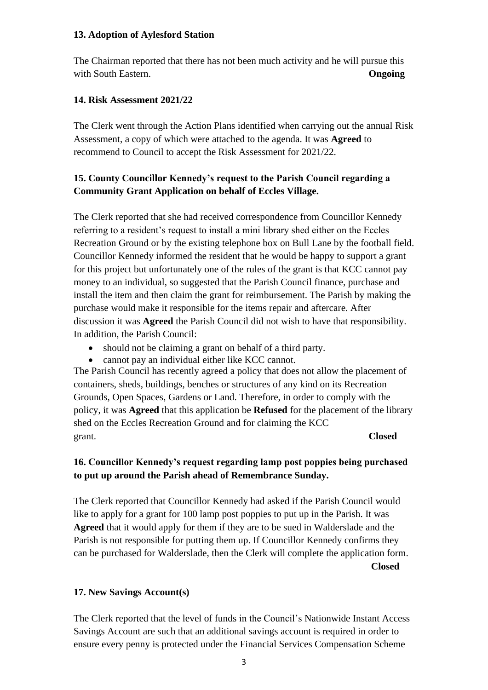#### **13. Adoption of Aylesford Station**

The Chairman reported that there has not been much activity and he will pursue this with South Eastern. **Ongoing**

### **14. Risk Assessment 2021/22**

The Clerk went through the Action Plans identified when carrying out the annual Risk Assessment, a copy of which were attached to the agenda. It was **Agreed** to recommend to Council to accept the Risk Assessment for 2021/22.

## **15. County Councillor Kennedy's request to the Parish Council regarding a Community Grant Application on behalf of Eccles Village.**

The Clerk reported that she had received correspondence from Councillor Kennedy referring to a resident's request to install a mini library shed either on the Eccles Recreation Ground or by the existing telephone box on Bull Lane by the football field. Councillor Kennedy informed the resident that he would be happy to support a grant for this project but unfortunately one of the rules of the grant is that KCC cannot pay money to an individual, so suggested that the Parish Council finance, purchase and install the item and then claim the grant for reimbursement. The Parish by making the purchase would make it responsible for the items repair and aftercare. After discussion it was **Agreed** the Parish Council did not wish to have that responsibility. In addition, the Parish Council:

- should not be claiming a grant on behalf of a third party.
- cannot pay an individual either like KCC cannot.

The Parish Council has recently agreed a policy that does not allow the placement of containers, sheds, buildings, benches or structures of any kind on its Recreation Grounds, Open Spaces, Gardens or Land. Therefore, in order to comply with the policy, it was **Agreed** that this application be **Refused** for the placement of the library shed on the Eccles Recreation Ground and for claiming the KCC grant. **Closed**

## **16. Councillor Kennedy's request regarding lamp post poppies being purchased to put up around the Parish ahead of Remembrance Sunday.**

The Clerk reported that Councillor Kennedy had asked if the Parish Council would like to apply for a grant for 100 lamp post poppies to put up in the Parish. It was **Agreed** that it would apply for them if they are to be sued in Walderslade and the Parish is not responsible for putting them up. If Councillor Kennedy confirms they can be purchased for Walderslade, then the Clerk will complete the application form. **Closed**

## **17. New Savings Account(s)**

The Clerk reported that the level of funds in the Council's Nationwide Instant Access Savings Account are such that an additional savings account is required in order to ensure every penny is protected under the Financial Services Compensation Scheme

3